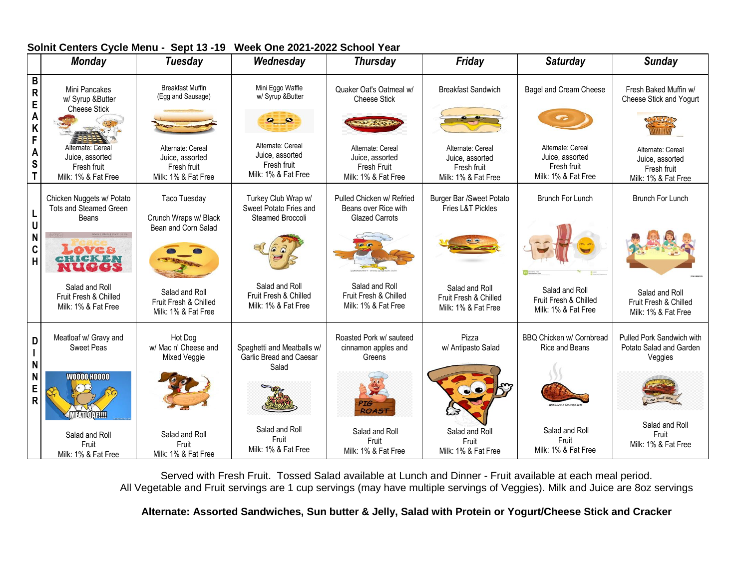|             | <b>Monday</b>                                                              | <b>Tuesday</b>                                                             | Wednesday                                                                  | <b>Thursday</b>                                                                   | Friday                                                                     | <b>Saturday</b>                                                            | <b>Sunday</b>                                                              |
|-------------|----------------------------------------------------------------------------|----------------------------------------------------------------------------|----------------------------------------------------------------------------|-----------------------------------------------------------------------------------|----------------------------------------------------------------------------|----------------------------------------------------------------------------|----------------------------------------------------------------------------|
| B<br>R<br>E | Mini Pancakes<br>w/ Syrup &Butter<br><b>Cheese Stick</b>                   | <b>Breakfast Muffin</b><br>(Egg and Sausage)                               | Mini Eggo Waffle<br>w/ Syrup &Butter                                       | Quaker Oat's Oatmeal w/<br><b>Cheese Stick</b>                                    | <b>Breakfast Sandwich</b>                                                  | Bagel and Cream Cheese                                                     | Fresh Baked Muffin w/<br>Cheese Stick and Yogurt                           |
| Α<br>F      |                                                                            |                                                                            | $\bullet$ $\bullet$                                                        |                                                                                   |                                                                            |                                                                            |                                                                            |
| Α<br>S      | Alternate: Cereal<br>Juice, assorted<br>Fresh fruit<br>Milk: 1% & Fat Free | Alternate: Cereal<br>Juice, assorted<br>Fresh fruit<br>Milk: 1% & Fat Free | Alternate: Cereal<br>Juice, assorted<br>Fresh fruit<br>Milk: 1% & Fat Free | Alternate: Cereal<br>Juice, assorted<br><b>Fresh Fruit</b><br>Milk: 1% & Fat Free | Alternate: Cereal<br>Juice, assorted<br>Fresh fruit<br>Milk: 1% & Fat Free | Alternate: Cereal<br>Juice, assorted<br>Fresh fruit<br>Milk: 1% & Fat Free | Alternate: Cereal<br>Juice, assorted<br>Fresh fruit<br>Milk: 1% & Fat Free |
|             | Chicken Nuggets w/ Potato<br>Tots and Steamed Green<br>Beans               | <b>Taco Tuesday</b><br>Crunch Wraps w/ Black                               | Turkey Club Wrap w/<br>Sweet Potato Fries and<br>Steamed Broccoli          | Pulled Chicken w/ Refried<br>Beans over Rice with<br><b>Glazed Carrots</b>        | Burger Bar /Sweet Potato<br>Fries L&T Pickles                              | <b>Brunch For Lunch</b>                                                    | <b>Brunch For Lunch</b>                                                    |
| N<br>C<br>H | Loves<br><b>CHICKEN</b>                                                    | Bean and Corn Salad                                                        |                                                                            |                                                                                   |                                                                            |                                                                            |                                                                            |
|             | Salad and Roll<br>Fruit Fresh & Chilled<br>Milk: 1% & Fat Free             | Salad and Roll<br>Fruit Fresh & Chilled<br>Milk: 1% & Fat Free             | Salad and Roll<br>Fruit Fresh & Chilled<br>Milk: 1% & Fat Free             | Salad and Roll<br>Fruit Fresh & Chilled<br>Milk: 1% & Fat Free                    | Salad and Roll<br>Fruit Fresh & Chilled<br>Milk: 1% & Fat Free             | Salad and Roll<br>Fruit Fresh & Chilled<br>Milk: 1% & Fat Free             | Salad and Roll<br>Fruit Fresh & Chilled<br>Milk: 1% & Fat Free             |
| D           | Meatloaf w/ Gravy and<br><b>Sweet Peas</b>                                 | Hot Dog<br>w/ Mac n' Cheese and<br>Mixed Veggie                            | Spaghetti and Meatballs w/<br>Garlic Bread and Caesar                      | Roasted Pork w/ sauteed<br>cinnamon apples and<br>Greens                          | Pizza<br>w/ Antipasto Salad                                                | BBQ Chicken w/ Cornbread<br>Rice and Beans                                 | Pulled Pork Sandwich with<br>Potato Salad and Garden<br>Veggies            |
| E<br>R      | <b>WOOOO HOOOO</b><br><b>TATION TILL</b>                                   |                                                                            | Salad                                                                      | <b>ROAST</b>                                                                      | $\bullet$                                                                  |                                                                            |                                                                            |
|             | Salad and Roll<br>Fruit<br>Milk: 1% & Fat Free                             | Salad and Roll<br>Fruit<br>Milk: 1% & Fat Free                             | Salad and Roll<br>Fruit<br>Milk: 1% & Fat Free                             | Salad and Roll<br>Fruit<br>Milk: 1% & Fat Free                                    | Salad and Roll<br>Fruit<br>Milk: 1% & Fat Free                             | Salad and Roll<br>Fruit<br>Milk: 1% & Fat Free                             | Salad and Roll<br>Fruit<br>Milk: 1% & Fat Free                             |

#### **Solnit Centers Cycle Menu - Sept 13 -19 Week One 2021-2022 School Year**

Served with Fresh Fruit. Tossed Salad available at Lunch and Dinner - Fruit available at each meal period. All Vegetable and Fruit servings are 1 cup servings (may have multiple servings of Veggies). Milk and Juice are 8oz servings

**Alternate: Assorted Sandwiches, Sun butter & Jelly, Salad with Protein or Yogurt/Cheese Stick and Cracker**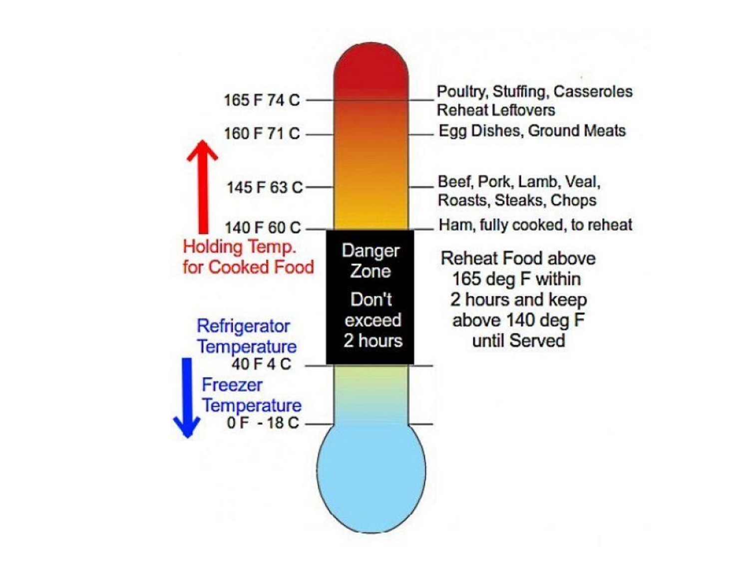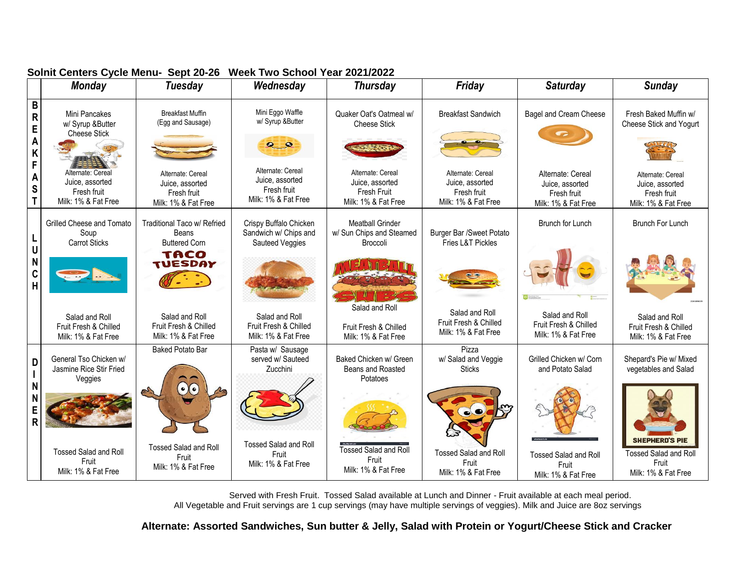|                       | <b>Monday</b>                                                              | <b>Tuesday</b>                                                             | Wednesday                                                                  | <b>Thursday</b>                                                                   | Friday                                                                     | <b>Saturday</b>                                                            | <b>Sunday</b>                                                                         |
|-----------------------|----------------------------------------------------------------------------|----------------------------------------------------------------------------|----------------------------------------------------------------------------|-----------------------------------------------------------------------------------|----------------------------------------------------------------------------|----------------------------------------------------------------------------|---------------------------------------------------------------------------------------|
| B<br>R<br>E<br>A<br>K | Mini Pancakes<br>w/ Syrup &Butter<br><b>Cheese Stick</b>                   | <b>Breakfast Muffin</b><br>(Egg and Sausage)                               | Mini Eggo Waffle<br>w/ Syrup &Butter<br>$\bullet$ $\bullet$                | Quaker Oat's Oatmeal w/<br><b>Cheese Stick</b>                                    | <b>Breakfast Sandwich</b>                                                  | Bagel and Cream Cheese                                                     | Fresh Baked Muffin w/<br>Cheese Stick and Yogurt                                      |
| F<br>A<br>S<br>T      | Alternate: Cereal<br>Juice, assorted<br>Fresh fruit<br>Milk: 1% & Fat Free | Alternate: Cereal<br>Juice, assorted<br>Fresh fruit<br>Milk: 1% & Fat Free | Alternate: Cereal<br>Juice, assorted<br>Fresh fruit<br>Milk: 1% & Fat Free | Alternate: Cereal<br>Juice, assorted<br><b>Fresh Fruit</b><br>Milk: 1% & Fat Free | Alternate: Cereal<br>Juice, assorted<br>Fresh fruit<br>Milk: 1% & Fat Free | Alternate: Cereal<br>Juice, assorted<br>Fresh fruit<br>Milk: 1% & Fat Free | Alternate: Cereal<br>Juice, assorted<br>Fresh fruit<br>Milk: 1% & Fat Free            |
| L                     | Grilled Cheese and Tomato<br>Soup                                          | Traditional Taco w/ Refried<br>Beans                                       | Crispy Buffalo Chicken<br>Sandwich w/ Chips and                            | <b>Meatball Grinder</b><br>w/ Sun Chips and Steamed                               | Burger Bar /Sweet Potato                                                   | Brunch for Lunch                                                           | <b>Brunch For Lunch</b>                                                               |
| U<br>N<br>C<br>H      | <b>Carrot Sticks</b>                                                       | <b>Buttered Corn</b><br>TACO<br><b>TUESDAY</b>                             | Sauteed Veggies                                                            | <b>Broccoli</b>                                                                   | Fries L&T Pickles                                                          |                                                                            |                                                                                       |
|                       | Salad and Roll<br>Fruit Fresh & Chilled<br>Milk: 1% & Fat Free             | Salad and Roll<br>Fruit Fresh & Chilled<br>Milk: 1% & Fat Free             | Salad and Roll<br>Fruit Fresh & Chilled<br>Milk: 1% & Fat Free             | Salad and Roll<br>Fruit Fresh & Chilled<br>Milk: 1% & Fat Free                    | Salad and Roll<br>Fruit Fresh & Chilled<br>Milk: 1% & Fat Free             | Salad and Roll<br>Fruit Fresh & Chilled<br>Milk: 1% & Fat Free             | Salad and Roll<br>Fruit Fresh & Chilled<br>Milk: 1% & Fat Free                        |
| D                     | General Tso Chicken w/<br>Jasmine Rice Stir Fried<br>Veggies               | <b>Baked Potato Bar</b>                                                    | Pasta w/ Sausage<br>served w/ Sauteed<br>Zucchini                          | Baked Chicken w/ Green<br>Beans and Roasted<br>Potatoes                           | Pizza<br>w/ Salad and Veggie<br><b>Sticks</b>                              | Grilled Chicken w/ Corn<br>and Potato Salad                                | Shepard's Pie w/ Mixed<br>vegetables and Salad                                        |
| N<br>N<br>E<br>R      |                                                                            | $\odot(\bullet)$                                                           |                                                                            |                                                                                   | $\bullet$                                                                  |                                                                            |                                                                                       |
|                       | <b>Tossed Salad and Roll</b><br>Fruit<br>Milk: 1% & Fat Free               | <b>Tossed Salad and Roll</b><br>Fruit<br>Milk: 1% & Fat Free               | <b>Tossed Salad and Roll</b><br>Fruit<br>Milk: 1% & Fat Free               | <b>Tossed Salad and Roll</b><br>Fruit<br>Milk: 1% & Fat Free                      | <b>Tossed Salad and Roll</b><br>Fruit<br>Milk: 1% & Fat Free               | <b>Tossed Salad and Roll</b><br>Fruit<br>Milk: 1% & Fat Free               | <b>SHEPHERD'S PIE</b><br><b>Tossed Salad and Roll</b><br>Fruit<br>Milk: 1% & Fat Free |

## **Solnit Centers Cycle Menu- Sept 20-26 Week Two School Year 2021/2022**

 Served with Fresh Fruit. Tossed Salad available at Lunch and Dinner - Fruit available at each meal period. All Vegetable and Fruit servings are 1 cup servings (may have multiple servings of veggies). Milk and Juice are 8oz servings

**Alternate: Assorted Sandwiches, Sun butter & Jelly, Salad with Protein or Yogurt/Cheese Stick and Cracker**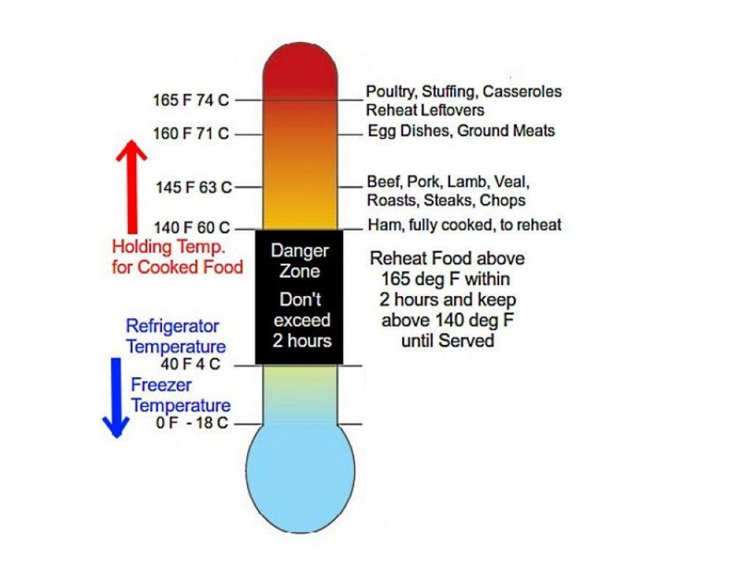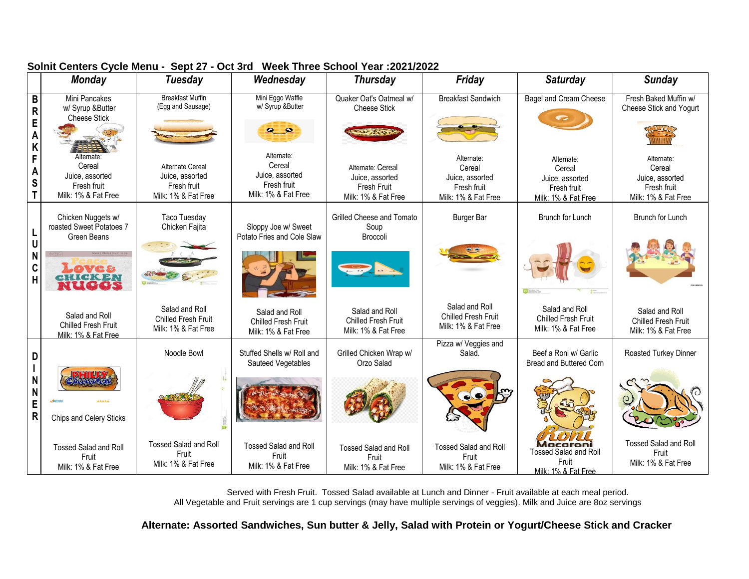|                                  | <b>Monday</b>                                                                 | <b>Tuesday</b>                                                            | Wednesday                                                                     | <b>Thursday</b>                                                                   | Friday                                                                        | <b>Saturday</b>                                                               | <b>Sunday</b>                                                                 |
|----------------------------------|-------------------------------------------------------------------------------|---------------------------------------------------------------------------|-------------------------------------------------------------------------------|-----------------------------------------------------------------------------------|-------------------------------------------------------------------------------|-------------------------------------------------------------------------------|-------------------------------------------------------------------------------|
| B<br>$\mathsf{R}$<br>E<br>A<br>K | Mini Pancakes<br>w/ Syrup &Butter<br><b>Cheese Stick</b>                      | <b>Breakfast Muffin</b><br>(Egg and Sausage)                              | Mini Eggo Waffle<br>w/ Syrup &Butter<br>$\bullet$ $\bullet$                   | Quaker Oat's Oatmeal w/<br><b>Cheese Stick</b>                                    | <b>Breakfast Sandwich</b>                                                     | <b>Bagel and Cream Cheese</b>                                                 | Fresh Baked Muffin w/<br>Cheese Stick and Yogurt                              |
| F<br>A<br>S                      | Alternate:<br>Cereal<br>Juice, assorted<br>Fresh fruit<br>Milk: 1% & Fat Free | Alternate Cereal<br>Juice, assorted<br>Fresh fruit<br>Milk: 1% & Fat Free | Alternate:<br>Cereal<br>Juice, assorted<br>Fresh fruit<br>Milk: 1% & Fat Free | Alternate: Cereal<br>Juice, assorted<br><b>Fresh Fruit</b><br>Milk: 1% & Fat Free | Alternate:<br>Cereal<br>Juice, assorted<br>Fresh fruit<br>Milk: 1% & Fat Free | Alternate:<br>Cereal<br>Juice, assorted<br>Fresh fruit<br>Milk: 1% & Fat Free | Alternate:<br>Cereal<br>Juice, assorted<br>Fresh fruit<br>Milk: 1% & Fat Free |
|                                  | Chicken Nuggets w/<br>roasted Sweet Potatoes 7<br>Green Beans                 | <b>Taco Tuesday</b><br>Chicken Fajita                                     | Sloppy Joe w/ Sweet<br>Potato Fries and Cole Slaw                             | Grilled Cheese and Tomato<br>Soup<br>Broccoli                                     | <b>Burger Bar</b>                                                             | Brunch for Lunch                                                              | Brunch for Lunch                                                              |
| N<br>C<br>$\overline{H}$         | <b>DVC&amp;</b><br>CKEN<br>NUGGS                                              |                                                                           |                                                                               |                                                                                   |                                                                               |                                                                               |                                                                               |
|                                  | Salad and Roll<br>Chilled Fresh Fruit<br>Milk: 1% & Fat Free                  | Salad and Roll<br>Chilled Fresh Fruit<br>Milk: 1% & Fat Free              | Salad and Roll<br><b>Chilled Fresh Fruit</b><br>Milk: 1% & Fat Free           | Salad and Roll<br><b>Chilled Fresh Fruit</b><br>Milk: 1% & Fat Free               | Salad and Roll<br><b>Chilled Fresh Fruit</b><br>Milk: 1% & Fat Free           | Salad and Roll<br>Chilled Fresh Fruit<br>Milk: 1% & Fat Free                  | Salad and Roll<br><b>Chilled Fresh Fruit</b><br>Milk: 1% & Fat Free           |
| D                                |                                                                               | Noodle Bowl                                                               | Stuffed Shells w/ Roll and<br>Sauteed Vegetables                              | Grilled Chicken Wrap w/<br>Orzo Salad                                             | Pizza w/ Veggies and<br>Salad.                                                | Beef a Roni w/ Garlic<br>Bread and Buttered Corn                              | Roasted Turkey Dinner                                                         |
| N<br>N<br>E<br>$\mathsf{R}$      | *****<br>Chips and Celery Sticks                                              |                                                                           |                                                                               |                                                                                   |                                                                               |                                                                               |                                                                               |
|                                  | <b>Tossed Salad and Roll</b><br>Fruit<br>Milk: 1% & Fat Free                  | <b>Tossed Salad and Roll</b><br>Fruit<br>Milk: 1% & Fat Free              | <b>Tossed Salad and Roll</b><br>Fruit<br>Milk: 1% & Fat Free                  | <b>Tossed Salad and Roll</b><br>Fruit<br>Milk: 1% & Fat Free                      | <b>Tossed Salad and Roll</b><br>Fruit<br>Milk: 1% & Fat Free                  | Macaroni<br><b>Tossed Salad and Roll</b><br>Fruit<br>Milk: 1% & Fat Free      | <b>Tossed Salad and Roll</b><br>Fruit<br>Milk: 1% & Fat Free                  |

## **Solnit Centers Cycle Menu - Sept 27 - Oct 3rd Week Three School Year :2021/2022**

 Served with Fresh Fruit. Tossed Salad available at Lunch and Dinner - Fruit available at each meal period. All Vegetable and Fruit servings are 1 cup servings (may have multiple servings of veggies). Milk and Juice are 8oz servings

**Alternate: Assorted Sandwiches, Sun butter & Jelly, Salad with Protein or Yogurt/Cheese Stick and Cracker**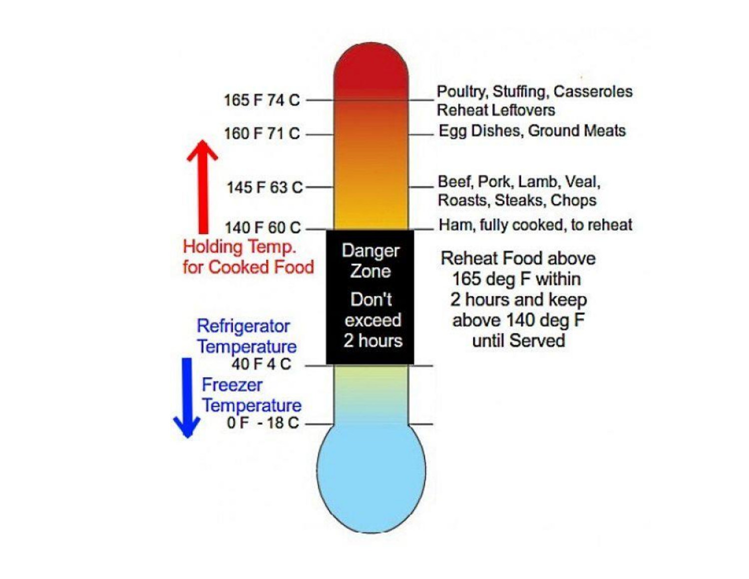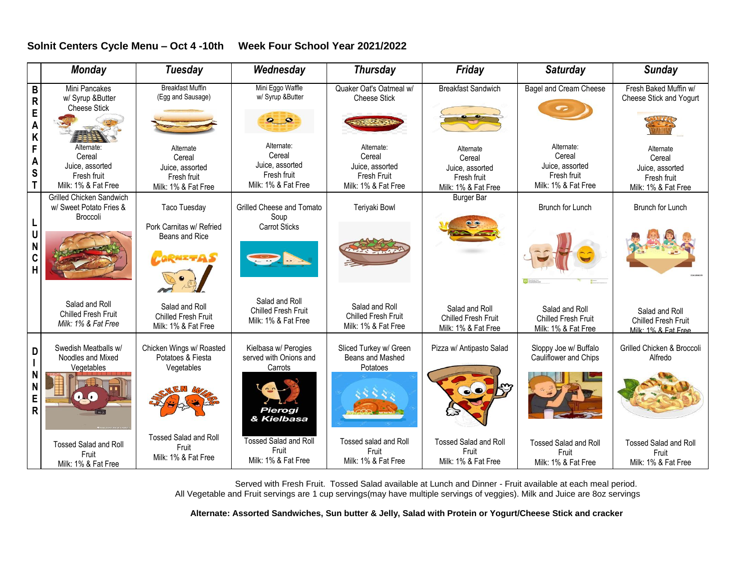### **Solnit Centers Cycle Menu – Oct 4 -10th Week Four School Year 2021/2022**

|                       | <b>Monday</b>                                                                 | Tuesday                                                                      | Wednesday                                                                     | <b>Thursday</b>                                                                      | Friday                                                                       | <b>Saturday</b>                                                               | <b>Sunday</b>                                                                |
|-----------------------|-------------------------------------------------------------------------------|------------------------------------------------------------------------------|-------------------------------------------------------------------------------|--------------------------------------------------------------------------------------|------------------------------------------------------------------------------|-------------------------------------------------------------------------------|------------------------------------------------------------------------------|
| B<br>R<br>E<br>A<br>K | Mini Pancakes<br>w/ Syrup &Butter<br><b>Cheese Stick</b>                      | <b>Breakfast Muffin</b><br>(Egg and Sausage)                                 | Mini Eggo Waffle<br>w/ Syrup &Butter<br>$\bullet$ $\bullet$                   | Quaker Oat's Oatmeal w/<br><b>Cheese Stick</b>                                       | <b>Breakfast Sandwich</b>                                                    | <b>Bagel and Cream Cheese</b>                                                 | Fresh Baked Muffin w/<br>Cheese Stick and Yogurt                             |
| F<br>A<br>S<br>T      | Alternate:<br>Cereal<br>Juice, assorted<br>Fresh fruit<br>Milk: 1% & Fat Free | Alternate<br>Cereal<br>Juice, assorted<br>Fresh fruit<br>Milk: 1% & Fat Free | Alternate:<br>Cereal<br>Juice, assorted<br>Fresh fruit<br>Milk: 1% & Fat Free | Alternate:<br>Cereal<br>Juice, assorted<br><b>Fresh Fruit</b><br>Milk: 1% & Fat Free | Alternate<br>Cereal<br>Juice, assorted<br>Fresh fruit<br>Milk: 1% & Fat Free | Alternate:<br>Cereal<br>Juice, assorted<br>Fresh fruit<br>Milk: 1% & Fat Free | Alternate<br>Cereal<br>Juice, assorted<br>Fresh fruit<br>Milk: 1% & Fat Free |
|                       | <b>Grilled Chicken Sandwich</b><br>w/ Sweet Potato Fries &                    | Taco Tuesday                                                                 | <b>Grilled Cheese and Tomato</b>                                              | Teriyaki Bowl                                                                        | <b>Burger Bar</b>                                                            | <b>Brunch for Lunch</b>                                                       | <b>Brunch for Lunch</b>                                                      |
| L<br>U<br>N<br>C<br>H | <b>Broccoli</b>                                                               | Pork Carnitas w/ Refried<br>Beans and Rice<br><b>CORNETAS</b>                | Soup<br><b>Carrot Sticks</b>                                                  |                                                                                      |                                                                              |                                                                               |                                                                              |
|                       | Salad and Roll<br><b>Chilled Fresh Fruit</b><br>Milk: 1% & Fat Free           | Salad and Roll<br><b>Chilled Fresh Fruit</b><br>Milk: 1% & Fat Free          | Salad and Roll<br>Chilled Fresh Fruit<br>Milk: 1% & Fat Free                  | Salad and Roll<br><b>Chilled Fresh Fruit</b><br>Milk: 1% & Fat Free                  | Salad and Roll<br><b>Chilled Fresh Fruit</b><br>Milk: 1% & Fat Free          | Salad and Roll<br><b>Chilled Fresh Fruit</b><br>Milk: 1% & Fat Free           | Salad and Roll<br><b>Chilled Fresh Fruit</b><br>Milk: 1% & Fat Free          |
| D                     | Swedish Meatballs w/<br>Noodles and Mixed<br>Vegetables                       | Chicken Wings w/ Roasted<br>Potatoes & Fiesta<br>Vegetables                  | Kielbasa w/ Perogies<br>served with Onions and<br>Carrots                     | Sliced Turkey w/ Green<br>Beans and Mashed<br>Potatoes                               | Pizza w/ Antipasto Salad                                                     | Sloppy Joe w/ Buffalo<br>Cauliflower and Chips                                | Grilled Chicken & Broccoli<br>Alfredo                                        |
| N<br>N<br>E<br>R      | $\cdot$ .                                                                     |                                                                              | Pierogi<br>& Kielbasa                                                         |                                                                                      | $\bullet$                                                                    |                                                                               |                                                                              |
|                       | <b>Tossed Salad and Roll</b><br>Fruit<br>Milk: 1% & Fat Free                  | <b>Tossed Salad and Roll</b><br>Fruit<br>Milk: 1% & Fat Free                 | <b>Tossed Salad and Roll</b><br>Fruit<br>Milk: 1% & Fat Free                  | <b>Tossed salad and Roll</b><br>Fruit<br>Milk: 1% & Fat Free                         | <b>Tossed Salad and Roll</b><br>Fruit<br>Milk: 1% & Fat Free                 | <b>Tossed Salad and Roll</b><br>Fruit<br>Milk: 1% & Fat Free                  | <b>Tossed Salad and Roll</b><br>Fruit<br>Milk: 1% & Fat Free                 |

 Served with Fresh Fruit. Tossed Salad available at Lunch and Dinner - Fruit available at each meal period. All Vegetable and Fruit servings are 1 cup servings(may have multiple servings of veggies). Milk and Juice are 8oz servings

**Alternate: Assorted Sandwiches, Sun butter & Jelly, Salad with Protein or Yogurt/Cheese Stick and cracker**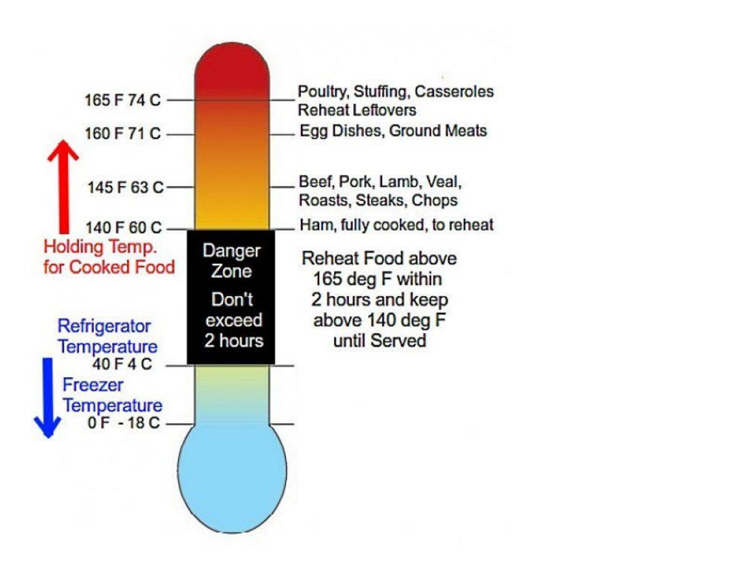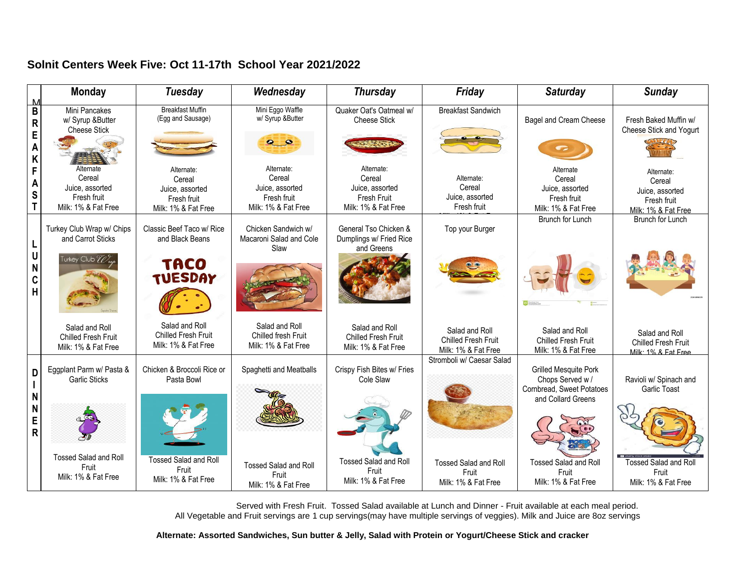# **Solnit Centers Week Five: Oct 11-17th School Year 2021/2022**

| M                                              | <b>Monday</b>                                                                | <b>Tuesday</b>                                                                | Wednesday                                                                     | <b>Thursday</b>                                                                      | Friday                                                       | <b>Saturday</b>                                                                                    | <b>Sunday</b>                                                                 |
|------------------------------------------------|------------------------------------------------------------------------------|-------------------------------------------------------------------------------|-------------------------------------------------------------------------------|--------------------------------------------------------------------------------------|--------------------------------------------------------------|----------------------------------------------------------------------------------------------------|-------------------------------------------------------------------------------|
| $\pmb{\mathsf{B}}$<br>${\sf R}$<br>E<br>A<br>K | Mini Pancakes<br>w/ Syrup &Butter<br><b>Cheese Stick</b>                     | <b>Breakfast Muffin</b><br>(Egg and Sausage)                                  | Mini Eggo Waffle<br>w/ Syrup &Butter<br>$\bullet$                             | Quaker Oat's Oatmeal w/<br><b>Cheese Stick</b>                                       | <b>Breakfast Sandwich</b>                                    | Bagel and Cream Cheese                                                                             | Fresh Baked Muffin w/<br>Cheese Stick and Yogurt                              |
| F<br>A<br>S<br>T                               | Alternate<br>Cereal<br>Juice, assorted<br>Fresh fruit<br>Milk: 1% & Fat Free | Alternate:<br>Cereal<br>Juice, assorted<br>Fresh fruit<br>Milk: 1% & Fat Free | Alternate:<br>Cereal<br>Juice, assorted<br>Fresh fruit<br>Milk: 1% & Fat Free | Alternate:<br>Cereal<br>Juice, assorted<br><b>Fresh Fruit</b><br>Milk: 1% & Fat Free | Alternate:<br>Cereal<br>Juice, assorted<br>Fresh fruit       | Alternate<br>Cereal<br>Juice, assorted<br>Fresh fruit<br>Milk: 1% & Fat Free                       | Alternate:<br>Cereal<br>Juice, assorted<br>Fresh fruit<br>Milk: 1% & Fat Free |
| L<br>U<br>N<br>C<br>$\overline{\mathsf{H}}$    | Turkey Club Wrap w/ Chips<br>and Carrot Sticks<br>Turkey Club <i>Wrap</i>    | Classic Beef Taco w/ Rice<br>and Black Beans<br>TACO<br><b>TUESDAY</b>        | Chicken Sandwich w/<br>Macaroni Salad and Cole<br>Slaw                        | General Tso Chicken &<br>Dumplings w/ Fried Rice<br>and Greens                       | Top your Burger                                              | Brunch for Lunch                                                                                   | <b>Brunch for Lunch</b>                                                       |
|                                                | Salad and Roll<br>Chilled Fresh Fruit<br>Milk: 1% & Fat Free                 | Salad and Roll<br><b>Chilled Fresh Fruit</b><br>Milk: 1% & Fat Free           | Salad and Roll<br>Chilled fresh Fruit<br>Milk: 1% & Fat Free                  | Salad and Roll<br><b>Chilled Fresh Fruit</b><br>Milk: 1% & Fat Free                  | Salad and Roll<br>Chilled Fresh Fruit<br>Milk: 1% & Fat Free | Salad and Roll<br><b>Chilled Fresh Fruit</b><br>Milk: 1% & Fat Free                                | Salad and Roll<br><b>Chilled Fresh Fruit</b><br>Milk: 1% & Fat Free           |
| D<br>N<br>N                                    | Eggplant Parm w/ Pasta &<br><b>Garlic Sticks</b>                             | Chicken & Broccoli Rice or<br>Pasta Bowl                                      | Spaghetti and Meatballs                                                       | Crispy Fish Bites w/ Fries<br>Cole Slaw                                              | Stromboli w/ Caesar Salad                                    | <b>Grilled Mesquite Pork</b><br>Chops Served w/<br>Cornbread, Sweet Potatoes<br>and Collard Greens | Ravioli w/ Spinach and<br>Garlic Toast                                        |
| E<br>$\overline{\mathsf{R}}$                   | <b>Tossed Salad and Roll</b>                                                 | <b>Tossed Salad and Roll</b>                                                  |                                                                               |                                                                                      |                                                              |                                                                                                    |                                                                               |
|                                                | Fruit<br>Milk: 1% & Fat Free                                                 | Fruit<br>Milk: 1% & Fat Free                                                  | <b>Tossed Salad and Roll</b><br>Fruit<br>Milk: 1% & Fat Free                  | <b>Tossed Salad and Roll</b><br>Fruit<br>Milk: 1% & Fat Free                         | <b>Tossed Salad and Roll</b><br>Fruit<br>Milk: 1% & Fat Free | <b>Tossed Salad and Roll</b><br>Fruit<br>Milk: 1% & Fat Free                                       | <b>Tossed Salad and Roll</b><br>Fruit<br>Milk: 1% & Fat Free                  |

 Served with Fresh Fruit. Tossed Salad available at Lunch and Dinner - Fruit available at each meal period. All Vegetable and Fruit servings are 1 cup servings(may have multiple servings of veggies). Milk and Juice are 8oz servings

**Alternate: Assorted Sandwiches, Sun butter & Jelly, Salad with Protein or Yogurt/Cheese Stick and cracker**